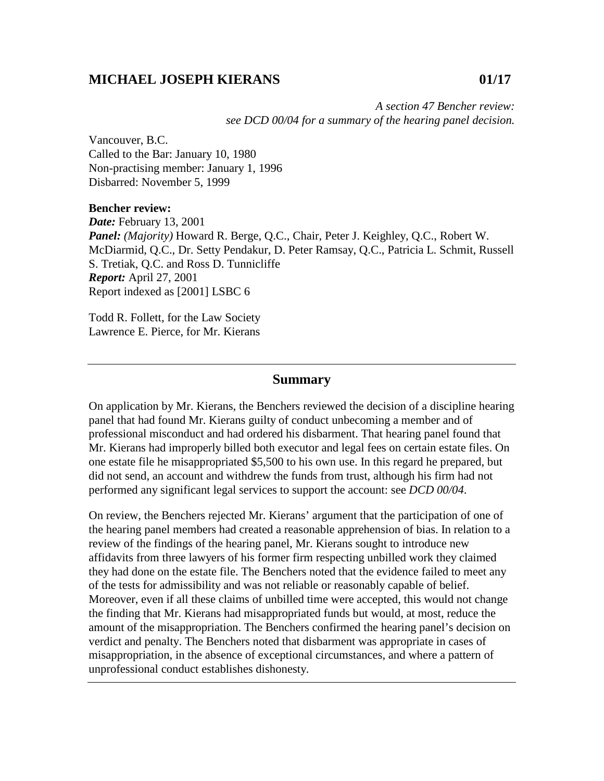## **MICHAEL JOSEPH KIERANS 01/17**

*A section 47 Bencher review: see DCD 00/04 for a summary of the hearing panel decision.* 

Vancouver, B.C. Called to the Bar: January 10, 1980 Non-practising member: January 1, 1996 Disbarred: November 5, 1999

## **Bencher review:**

*Date:* February 13, 2001 *Panel: (Majority)* Howard R. Berge, Q.C., Chair, Peter J. Keighley, Q.C., Robert W. McDiarmid, Q.C., Dr. Setty Pendakur, D. Peter Ramsay, Q.C., Patricia L. Schmit, Russell S. Tretiak, Q.C. and Ross D. Tunnicliffe *Report:* April 27, 2001 Report indexed as [2001] LSBC 6

Todd R. Follett, for the Law Society Lawrence E. Pierce, for Mr. Kierans

## **Summary**

On application by Mr. Kierans, the Benchers reviewed the decision of a discipline hearing panel that had found Mr. Kierans guilty of conduct unbecoming a member and of professional misconduct and had ordered his disbarment. That hearing panel found that Mr. Kierans had improperly billed both executor and legal fees on certain estate files. On one estate file he misappropriated \$5,500 to his own use. In this regard he prepared, but did not send, an account and withdrew the funds from trust, although his firm had not performed any significant legal services to support the account: see *DCD 00/04*.

On review, the Benchers rejected Mr. Kierans' argument that the participation of one of the hearing panel members had created a reasonable apprehension of bias. In relation to a review of the findings of the hearing panel, Mr. Kierans sought to introduce new affidavits from three lawyers of his former firm respecting unbilled work they claimed they had done on the estate file. The Benchers noted that the evidence failed to meet any of the tests for admissibility and was not reliable or reasonably capable of belief. Moreover, even if all these claims of unbilled time were accepted, this would not change the finding that Mr. Kierans had misappropriated funds but would, at most, reduce the amount of the misappropriation. The Benchers confirmed the hearing panel's decision on verdict and penalty. The Benchers noted that disbarment was appropriate in cases of misappropriation, in the absence of exceptional circumstances, and where a pattern of unprofessional conduct establishes dishonesty.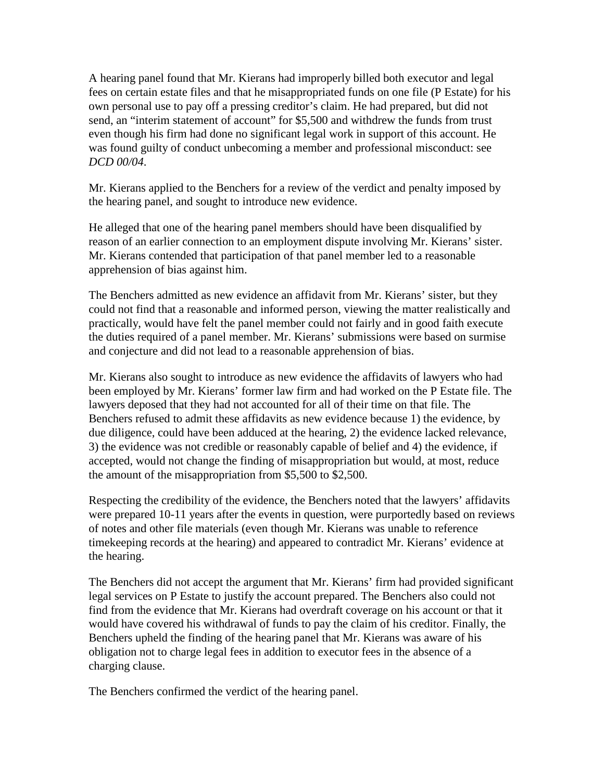A hearing panel found that Mr. Kierans had improperly billed both executor and legal fees on certain estate files and that he misappropriated funds on one file (P Estate) for his own personal use to pay off a pressing creditor's claim. He had prepared, but did not send, an "interim statement of account" for \$5,500 and withdrew the funds from trust even though his firm had done no significant legal work in support of this account. He was found guilty of conduct unbecoming a member and professional misconduct: see *DCD 00/04*.

Mr. Kierans applied to the Benchers for a review of the verdict and penalty imposed by the hearing panel, and sought to introduce new evidence.

He alleged that one of the hearing panel members should have been disqualified by reason of an earlier connection to an employment dispute involving Mr. Kierans' sister. Mr. Kierans contended that participation of that panel member led to a reasonable apprehension of bias against him.

The Benchers admitted as new evidence an affidavit from Mr. Kierans' sister, but they could not find that a reasonable and informed person, viewing the matter realistically and practically, would have felt the panel member could not fairly and in good faith execute the duties required of a panel member. Mr. Kierans' submissions were based on surmise and conjecture and did not lead to a reasonable apprehension of bias.

Mr. Kierans also sought to introduce as new evidence the affidavits of lawyers who had been employed by Mr. Kierans' former law firm and had worked on the P Estate file. The lawyers deposed that they had not accounted for all of their time on that file. The Benchers refused to admit these affidavits as new evidence because 1) the evidence, by due diligence, could have been adduced at the hearing, 2) the evidence lacked relevance, 3) the evidence was not credible or reasonably capable of belief and 4) the evidence, if accepted, would not change the finding of misappropriation but would, at most, reduce the amount of the misappropriation from \$5,500 to \$2,500.

Respecting the credibility of the evidence, the Benchers noted that the lawyers' affidavits were prepared 10-11 years after the events in question, were purportedly based on reviews of notes and other file materials (even though Mr. Kierans was unable to reference timekeeping records at the hearing) and appeared to contradict Mr. Kierans' evidence at the hearing.

The Benchers did not accept the argument that Mr. Kierans' firm had provided significant legal services on P Estate to justify the account prepared. The Benchers also could not find from the evidence that Mr. Kierans had overdraft coverage on his account or that it would have covered his withdrawal of funds to pay the claim of his creditor. Finally, the Benchers upheld the finding of the hearing panel that Mr. Kierans was aware of his obligation not to charge legal fees in addition to executor fees in the absence of a charging clause.

The Benchers confirmed the verdict of the hearing panel.